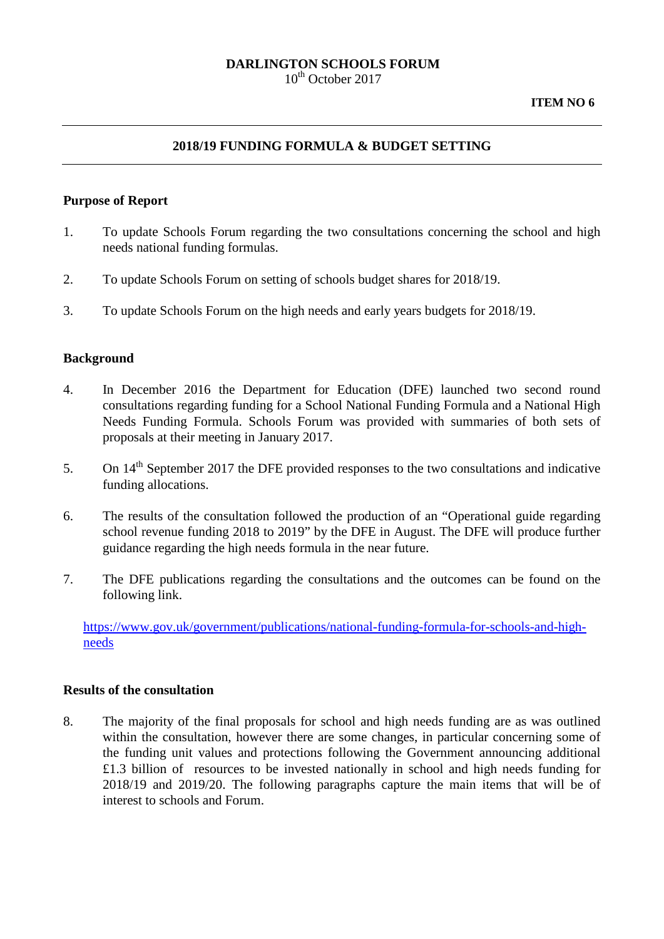# **DARLINGTON SCHOOLS FORUM**

 $10^{th}$  October 2017

### **2018/19 FUNDING FORMULA & BUDGET SETTING**

#### **Purpose of Report**

- 1. To update Schools Forum regarding the two consultations concerning the school and high needs national funding formulas.
- 2. To update Schools Forum on setting of schools budget shares for 2018/19.
- 3. To update Schools Forum on the high needs and early years budgets for 2018/19.

### **Background**

- 4. In December 2016 the Department for Education (DFE) launched two second round consultations regarding funding for a School National Funding Formula and a National High Needs Funding Formula. Schools Forum was provided with summaries of both sets of proposals at their meeting in January 2017.
- 5. On  $14<sup>th</sup>$  September 2017 the DFE provided responses to the two consultations and indicative funding allocations.
- 6. The results of the consultation followed the production of an "Operational guide regarding school revenue funding 2018 to 2019" by the DFE in August. The DFE will produce further guidance regarding the high needs formula in the near future.
- 7. The DFE publications regarding the consultations and the outcomes can be found on the following link.

[https://www.gov.uk/government/publications/national-funding-formula-for-schools-and-high](https://www.gov.uk/government/publications/national-funding-formula-for-schools-and-high-needs)[needs](https://www.gov.uk/government/publications/national-funding-formula-for-schools-and-high-needs)

#### **Results of the consultation**

8. The majority of the final proposals for school and high needs funding are as was outlined within the consultation, however there are some changes, in particular concerning some of the funding unit values and protections following the Government announcing additional £1.3 billion of resources to be invested nationally in school and high needs funding for 2018/19 and 2019/20. The following paragraphs capture the main items that will be of interest to schools and Forum.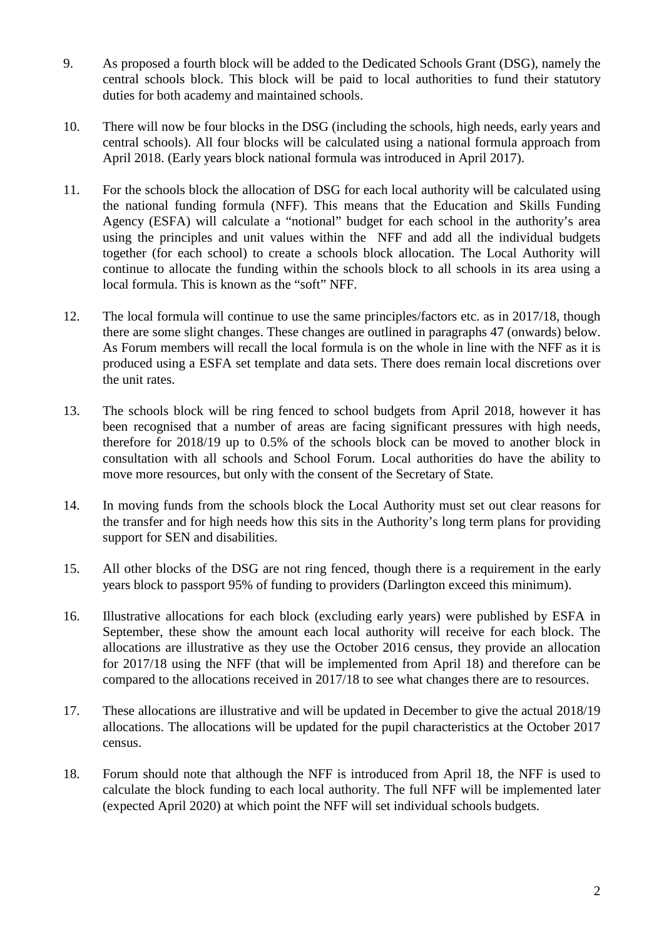- 9. As proposed a fourth block will be added to the Dedicated Schools Grant (DSG), namely the central schools block. This block will be paid to local authorities to fund their statutory duties for both academy and maintained schools.
- 10. There will now be four blocks in the DSG (including the schools, high needs, early years and central schools). All four blocks will be calculated using a national formula approach from April 2018. (Early years block national formula was introduced in April 2017).
- 11. For the schools block the allocation of DSG for each local authority will be calculated using the national funding formula (NFF). This means that the Education and Skills Funding Agency (ESFA) will calculate a "notional" budget for each school in the authority's area using the principles and unit values within the NFF and add all the individual budgets together (for each school) to create a schools block allocation. The Local Authority will continue to allocate the funding within the schools block to all schools in its area using a local formula. This is known as the "soft" NFF.
- 12. The local formula will continue to use the same principles/factors etc. as in 2017/18, though there are some slight changes. These changes are outlined in paragraphs 47 (onwards) below. As Forum members will recall the local formula is on the whole in line with the NFF as it is produced using a ESFA set template and data sets. There does remain local discretions over the unit rates.
- 13. The schools block will be ring fenced to school budgets from April 2018, however it has been recognised that a number of areas are facing significant pressures with high needs, therefore for 2018/19 up to 0.5% of the schools block can be moved to another block in consultation with all schools and School Forum. Local authorities do have the ability to move more resources, but only with the consent of the Secretary of State.
- 14. In moving funds from the schools block the Local Authority must set out clear reasons for the transfer and for high needs how this sits in the Authority's long term plans for providing support for SEN and disabilities.
- 15. All other blocks of the DSG are not ring fenced, though there is a requirement in the early years block to passport 95% of funding to providers (Darlington exceed this minimum).
- 16. Illustrative allocations for each block (excluding early years) were published by ESFA in September, these show the amount each local authority will receive for each block. The allocations are illustrative as they use the October 2016 census, they provide an allocation for 2017/18 using the NFF (that will be implemented from April 18) and therefore can be compared to the allocations received in 2017/18 to see what changes there are to resources.
- 17. These allocations are illustrative and will be updated in December to give the actual 2018/19 allocations. The allocations will be updated for the pupil characteristics at the October 2017 census.
- 18. Forum should note that although the NFF is introduced from April 18, the NFF is used to calculate the block funding to each local authority. The full NFF will be implemented later (expected April 2020) at which point the NFF will set individual schools budgets.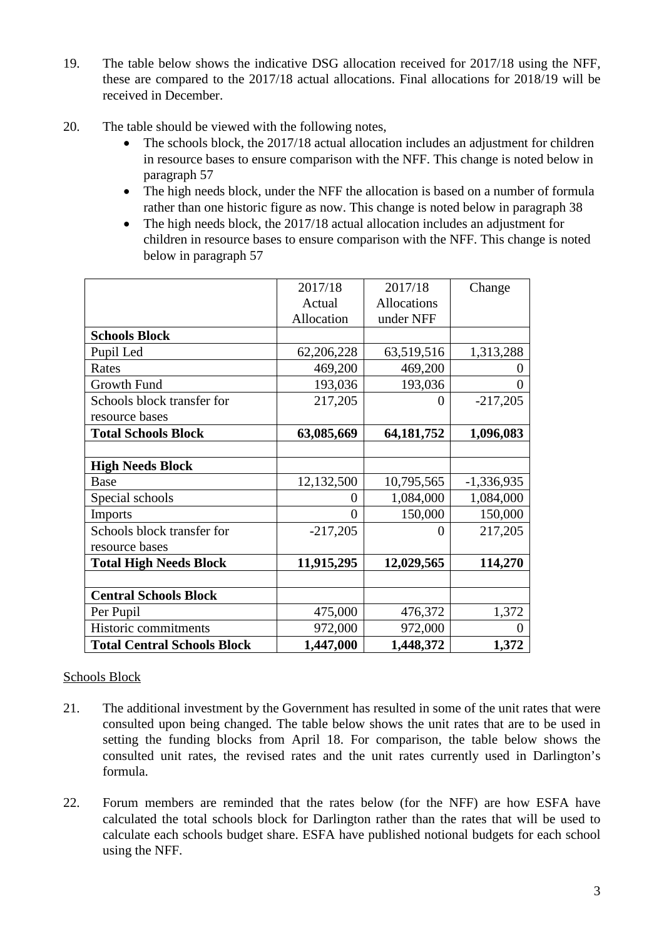- 19. The table below shows the indicative DSG allocation received for 2017/18 using the NFF, these are compared to the 2017/18 actual allocations. Final allocations for 2018/19 will be received in December.
- 20. The table should be viewed with the following notes,
	- The schools block, the 2017/18 actual allocation includes an adjustment for children in resource bases to ensure comparison with the NFF. This change is noted below in paragraph 57
	- The high needs block, under the NFF the allocation is based on a number of formula rather than one historic figure as now. This change is noted below in paragraph 38
	- The high needs block, the 2017/18 actual allocation includes an adjustment for children in resource bases to ensure comparison with the NFF. This change is noted below in paragraph 57

|                                    | 2017/18    | 2017/18      | Change       |
|------------------------------------|------------|--------------|--------------|
|                                    | Actual     | Allocations  |              |
|                                    | Allocation | under NFF    |              |
| <b>Schools Block</b>               |            |              |              |
| Pupil Led                          | 62,206,228 | 63,519,516   | 1,313,288    |
| Rates                              | 469,200    | 469,200      | 0            |
| Growth Fund                        | 193,036    | 193,036      | $\Omega$     |
| Schools block transfer for         | 217,205    | 0            | $-217,205$   |
| resource bases                     |            |              |              |
| <b>Total Schools Block</b>         | 63,085,669 | 64, 181, 752 | 1,096,083    |
|                                    |            |              |              |
| <b>High Needs Block</b>            |            |              |              |
| Base                               | 12,132,500 | 10,795,565   | $-1,336,935$ |
| Special schools                    | 0          | 1,084,000    | 1,084,000    |
| <b>Imports</b>                     | $\theta$   | 150,000      | 150,000      |
| Schools block transfer for         | $-217,205$ | 0            | 217,205      |
| resource bases                     |            |              |              |
| <b>Total High Needs Block</b>      | 11,915,295 | 12,029,565   | 114,270      |
|                                    |            |              |              |
| <b>Central Schools Block</b>       |            |              |              |
| Per Pupil                          | 475,000    | 476,372      | 1,372        |
| Historic commitments               | 972,000    | 972,000      | $\theta$     |
| <b>Total Central Schools Block</b> | 1,447,000  | 1,448,372    | 1,372        |

# Schools Block

- 21. The additional investment by the Government has resulted in some of the unit rates that were consulted upon being changed. The table below shows the unit rates that are to be used in setting the funding blocks from April 18. For comparison, the table below shows the consulted unit rates, the revised rates and the unit rates currently used in Darlington's formula.
- 22. Forum members are reminded that the rates below (for the NFF) are how ESFA have calculated the total schools block for Darlington rather than the rates that will be used to calculate each schools budget share. ESFA have published notional budgets for each school using the NFF.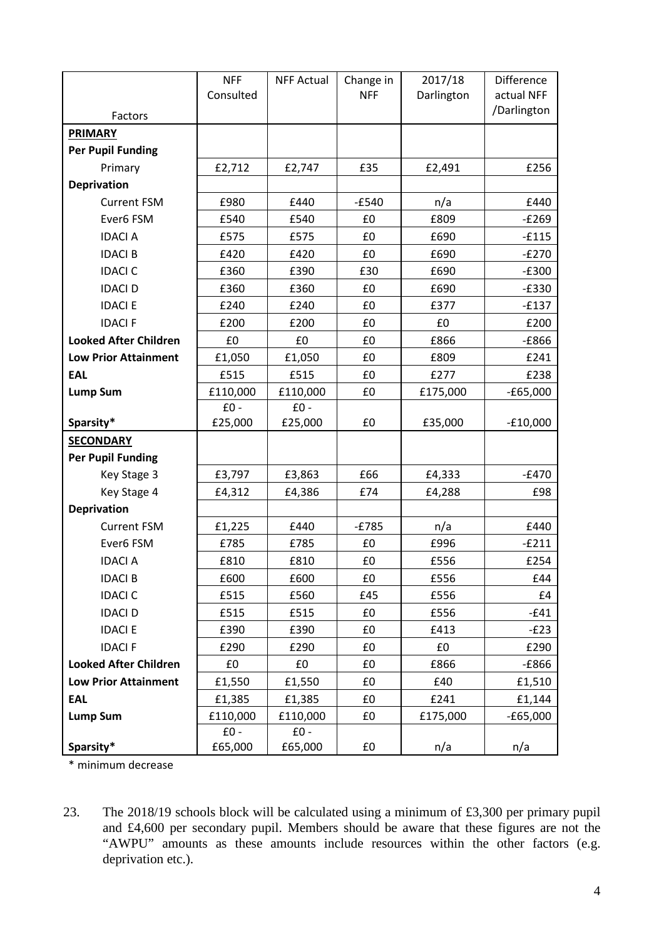|                              | <b>NFF</b> | <b>NFF Actual</b> | Change in  | 2017/18    | Difference  |
|------------------------------|------------|-------------------|------------|------------|-------------|
|                              | Consulted  |                   | <b>NFF</b> | Darlington | actual NFF  |
| Factors                      |            |                   |            |            | /Darlington |
| <b>PRIMARY</b>               |            |                   |            |            |             |
| <b>Per Pupil Funding</b>     |            |                   |            |            |             |
| Primary                      | £2,712     | £2,747            | £35        | £2,491     | £256        |
| <b>Deprivation</b>           |            |                   |            |            |             |
| <b>Current FSM</b>           | £980       | £440              | $-E540$    | n/a        | £440        |
| Ever6 FSM                    | £540       | £540              | £0         | £809       | $-E269$     |
| <b>IDACI A</b>               | £575       | £575              | £0         | £690       | $-£115$     |
| <b>IDACI B</b>               | £420       | £420              | £0         | £690       | $-E270$     |
| <b>IDACI C</b>               | £360       | £390              | £30        | £690       | $-E300$     |
| <b>IDACI D</b>               | £360       | £360              | £0         | £690       | $-E330$     |
| <b>IDACI E</b>               | £240       | £240              | £0         | £377       | $-E137$     |
| <b>IDACIF</b>                | £200       | £200              | £0         | £0         | £200        |
| <b>Looked After Children</b> | £0         | £0                | £0         | £866       | $-E866$     |
| <b>Low Prior Attainment</b>  | £1,050     | £1,050            | £0         | £809       | £241        |
| <b>EAL</b>                   | £515       | £515              | £0         | £277       | £238        |
| <b>Lump Sum</b>              | £110,000   | £110,000          | £0         | £175,000   | $-£65,000$  |
|                              | $£0 -$     | $E0 -$            |            |            |             |
| Sparsity*                    | £25,000    | £25,000           | £0         | £35,000    | $-£10,000$  |
| <b>SECONDARY</b>             |            |                   |            |            |             |
| <b>Per Pupil Funding</b>     |            |                   |            |            |             |
| Key Stage 3                  | £3,797     | £3,863            | £66        | £4,333     | $-E470$     |
| Key Stage 4                  | £4,312     | £4,386            | £74        | £4,288     | £98         |
| <b>Deprivation</b>           |            |                   |            |            |             |
| <b>Current FSM</b>           | £1,225     | £440              | $-E785$    | n/a        | £440        |
| Ever6 FSM                    | £785       | £785              | £0         | £996       | $-E211$     |
| <b>IDACI A</b>               | £810       | £810              | £0         | £556       | £254        |
| <b>IDACI B</b>               | £600       | £600              | £0         | £556       | £44         |
| <b>IDACI C</b>               | £515       | £560              | £45        | £556       | £4          |
| <b>IDACI D</b>               | £515       | £515              | £0         | £556       | $-E41$      |
| <b>IDACI E</b>               | £390       | £390              | £0         | £413       | $-E23$      |
| <b>IDACIF</b>                | £290       | £290              | £0         | £0         | £290        |
| <b>Looked After Children</b> | £0         | £0                | £0         | £866       | $-E866$     |
| <b>Low Prior Attainment</b>  | £1,550     | £1,550            | £0         | £40        | £1,510      |
| <b>EAL</b>                   | £1,385     | £1,385            | £0         | £241       | £1,144      |
| <b>Lump Sum</b>              | £110,000   | £110,000          | £0         | £175,000   | $-£65,000$  |
|                              | $E0 -$     | $£0 -$            |            |            |             |
| Sparsity*                    | £65,000    | £65,000           | £0         | n/a        | n/a         |

\* minimum decrease

23. The 2018/19 schools block will be calculated using a minimum of £3,300 per primary pupil and £4,600 per secondary pupil. Members should be aware that these figures are not the "AWPU" amounts as these amounts include resources within the other factors (e.g. deprivation etc.).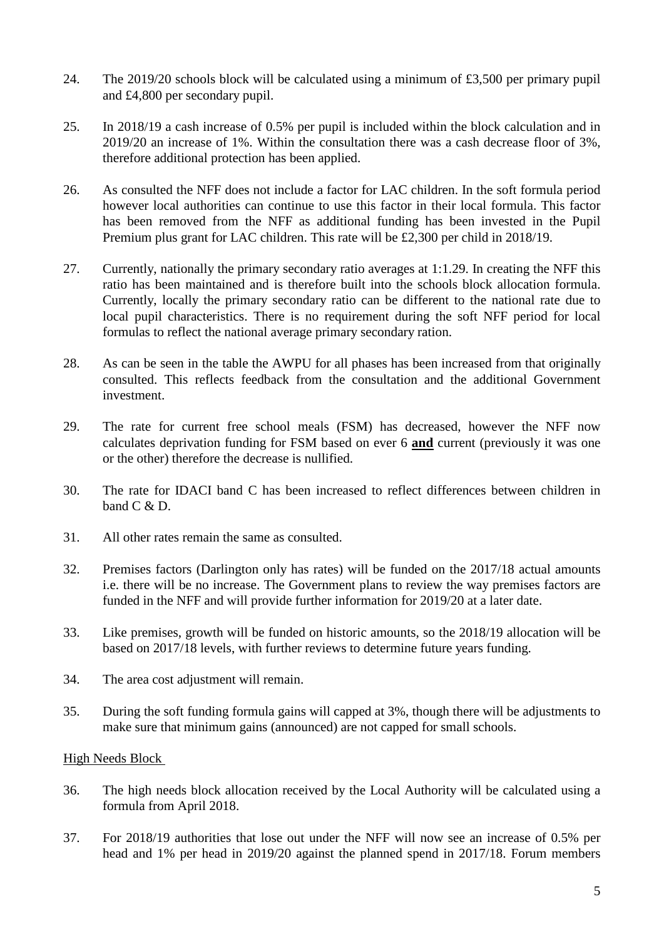- 24. The 2019/20 schools block will be calculated using a minimum of £3,500 per primary pupil and £4,800 per secondary pupil.
- 25. In 2018/19 a cash increase of 0.5% per pupil is included within the block calculation and in 2019/20 an increase of 1%. Within the consultation there was a cash decrease floor of 3%, therefore additional protection has been applied.
- 26. As consulted the NFF does not include a factor for LAC children. In the soft formula period however local authorities can continue to use this factor in their local formula. This factor has been removed from the NFF as additional funding has been invested in the Pupil Premium plus grant for LAC children. This rate will be £2,300 per child in 2018/19.
- 27. Currently, nationally the primary secondary ratio averages at 1:1.29. In creating the NFF this ratio has been maintained and is therefore built into the schools block allocation formula. Currently, locally the primary secondary ratio can be different to the national rate due to local pupil characteristics. There is no requirement during the soft NFF period for local formulas to reflect the national average primary secondary ration.
- 28. As can be seen in the table the AWPU for all phases has been increased from that originally consulted. This reflects feedback from the consultation and the additional Government investment.
- 29. The rate for current free school meals (FSM) has decreased, however the NFF now calculates deprivation funding for FSM based on ever 6 **and** current (previously it was one or the other) therefore the decrease is nullified.
- 30. The rate for IDACI band C has been increased to reflect differences between children in band C & D.
- 31. All other rates remain the same as consulted.
- 32. Premises factors (Darlington only has rates) will be funded on the 2017/18 actual amounts i.e. there will be no increase. The Government plans to review the way premises factors are funded in the NFF and will provide further information for 2019/20 at a later date.
- 33. Like premises, growth will be funded on historic amounts, so the 2018/19 allocation will be based on 2017/18 levels, with further reviews to determine future years funding.
- 34. The area cost adjustment will remain.
- 35. During the soft funding formula gains will capped at 3%, though there will be adjustments to make sure that minimum gains (announced) are not capped for small schools.

### High Needs Block

- 36. The high needs block allocation received by the Local Authority will be calculated using a formula from April 2018.
- 37. For 2018/19 authorities that lose out under the NFF will now see an increase of 0.5% per head and 1% per head in 2019/20 against the planned spend in 2017/18. Forum members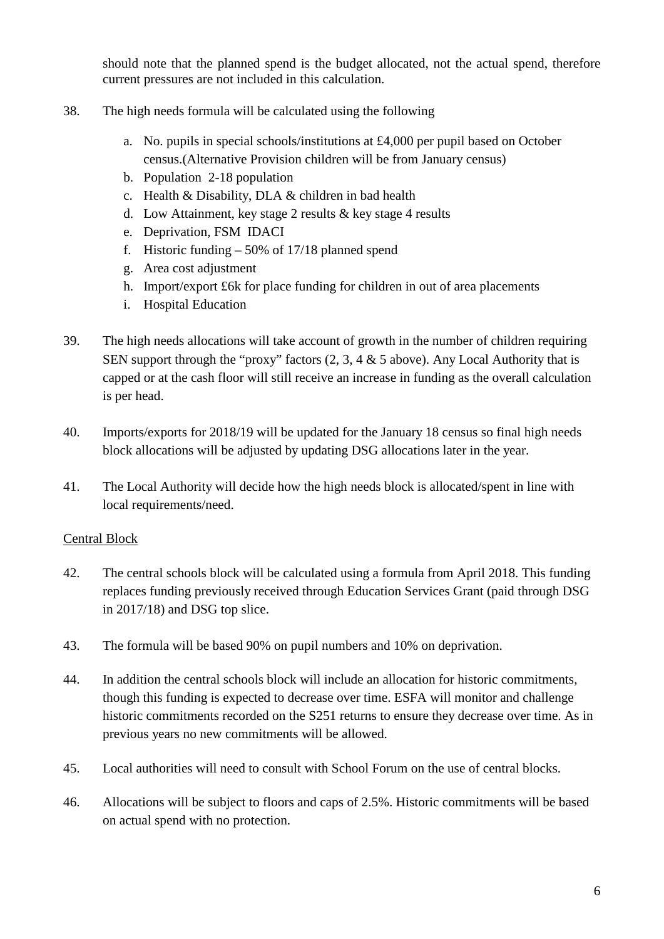should note that the planned spend is the budget allocated, not the actual spend, therefore current pressures are not included in this calculation.

- 38. The high needs formula will be calculated using the following
	- a. No. pupils in special schools/institutions at £4,000 per pupil based on October census.(Alternative Provision children will be from January census)
	- b. Population 2-18 population
	- c. Health & Disability, DLA & children in bad health
	- d. Low Attainment, key stage 2 results & key stage 4 results
	- e. Deprivation, FSM IDACI
	- f. Historic funding 50% of 17/18 planned spend
	- g. Area cost adjustment
	- h. Import/export £6k for place funding for children in out of area placements
	- i. Hospital Education
- 39. The high needs allocations will take account of growth in the number of children requiring SEN support through the "proxy" factors  $(2, 3, 4 \& 5 \text{ above})$ . Any Local Authority that is capped or at the cash floor will still receive an increase in funding as the overall calculation is per head.
- 40. Imports/exports for 2018/19 will be updated for the January 18 census so final high needs block allocations will be adjusted by updating DSG allocations later in the year.
- 41. The Local Authority will decide how the high needs block is allocated/spent in line with local requirements/need.

# Central Block

- 42. The central schools block will be calculated using a formula from April 2018. This funding replaces funding previously received through Education Services Grant (paid through DSG in 2017/18) and DSG top slice.
- 43. The formula will be based 90% on pupil numbers and 10% on deprivation.
- 44. In addition the central schools block will include an allocation for historic commitments, though this funding is expected to decrease over time. ESFA will monitor and challenge historic commitments recorded on the S251 returns to ensure they decrease over time. As in previous years no new commitments will be allowed.
- 45. Local authorities will need to consult with School Forum on the use of central blocks.
- 46. Allocations will be subject to floors and caps of 2.5%. Historic commitments will be based on actual spend with no protection.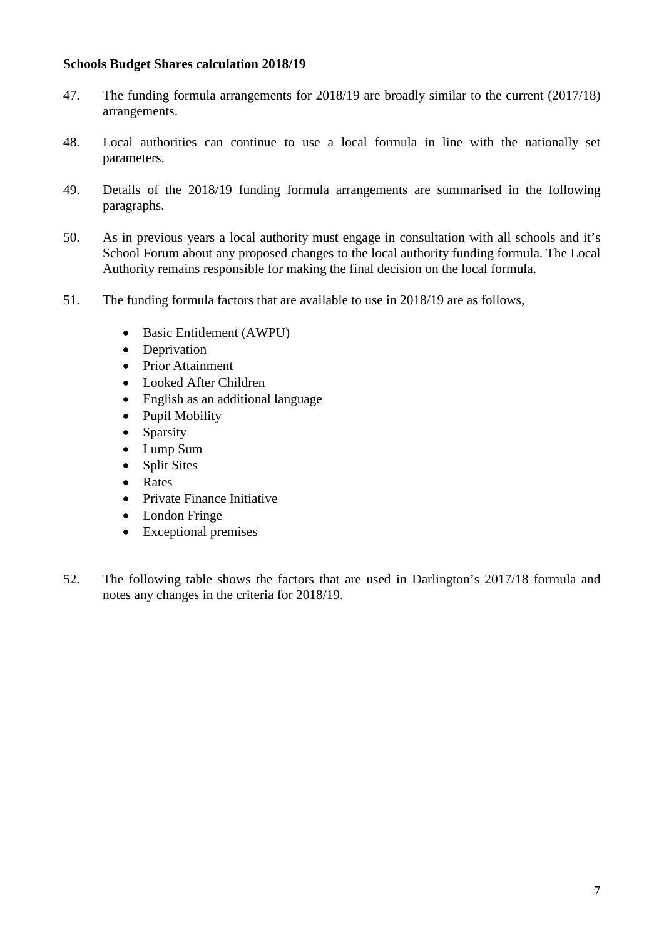### **Schools Budget Shares calculation 2018/19**

- 47. The funding formula arrangements for 2018/19 are broadly similar to the current (2017/18) arrangements.
- 48. Local authorities can continue to use a local formula in line with the nationally set parameters.
- 49. Details of the 2018/19 funding formula arrangements are summarised in the following paragraphs.
- 50. As in previous years a local authority must engage in consultation with all schools and it's School Forum about any proposed changes to the local authority funding formula. The Local Authority remains responsible for making the final decision on the local formula.
- 51. The funding formula factors that are available to use in 2018/19 are as follows,
	- Basic Entitlement (AWPU)
	- Deprivation
	- Prior Attainment
	- Looked After Children
	- English as an additional language
	- Pupil Mobility
	- Sparsity
	- Lump Sum
	- Split Sites
	- Rates
	- Private Finance Initiative
	- London Fringe
	- Exceptional premises
- 52. The following table shows the factors that are used in Darlington's 2017/18 formula and notes any changes in the criteria for 2018/19.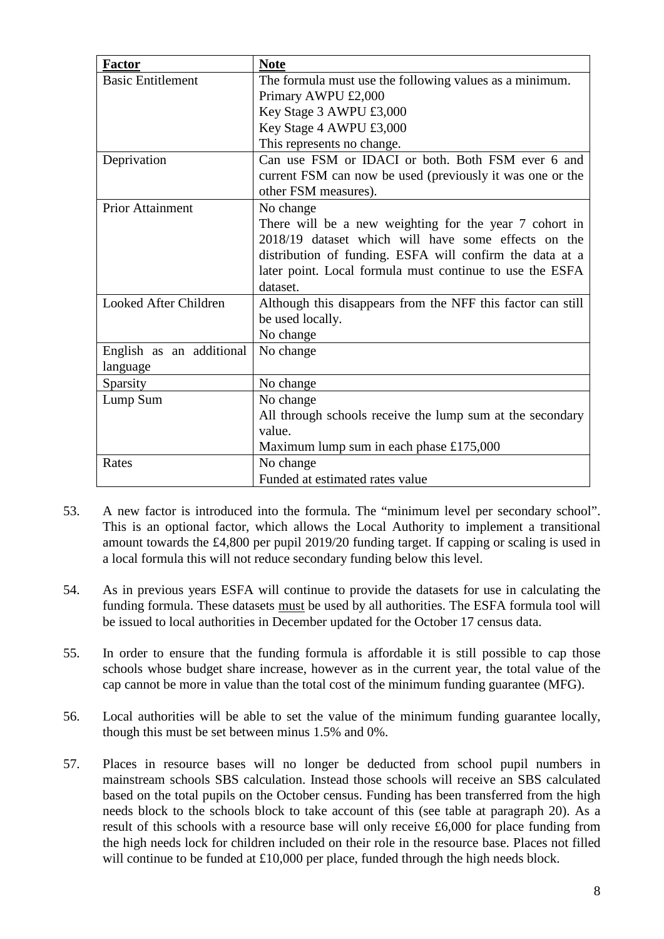| <b>Factor</b>            | <b>Note</b>                                                 |  |  |
|--------------------------|-------------------------------------------------------------|--|--|
| <b>Basic Entitlement</b> | The formula must use the following values as a minimum.     |  |  |
|                          | Primary AWPU £2,000                                         |  |  |
|                          | Key Stage 3 AWPU £3,000                                     |  |  |
|                          | Key Stage 4 AWPU £3,000                                     |  |  |
|                          | This represents no change.                                  |  |  |
| Deprivation              | Can use FSM or IDACI or both. Both FSM ever 6 and           |  |  |
|                          | current FSM can now be used (previously it was one or the   |  |  |
|                          | other FSM measures).                                        |  |  |
| <b>Prior Attainment</b>  | No change                                                   |  |  |
|                          | There will be a new weighting for the year 7 cohort in      |  |  |
|                          | 2018/19 dataset which will have some effects on the         |  |  |
|                          | distribution of funding. ESFA will confirm the data at a    |  |  |
|                          | later point. Local formula must continue to use the ESFA    |  |  |
|                          | dataset.                                                    |  |  |
| Looked After Children    | Although this disappears from the NFF this factor can still |  |  |
|                          | be used locally.                                            |  |  |
|                          | No change                                                   |  |  |
| English as an additional | No change                                                   |  |  |
| language                 |                                                             |  |  |
| Sparsity                 | No change                                                   |  |  |
| Lump Sum                 | No change                                                   |  |  |
|                          | All through schools receive the lump sum at the secondary   |  |  |
|                          | value.                                                      |  |  |
|                          | Maximum lump sum in each phase $£175,000$                   |  |  |
| Rates                    | No change                                                   |  |  |
|                          | Funded at estimated rates value                             |  |  |

- 53. A new factor is introduced into the formula. The "minimum level per secondary school". This is an optional factor, which allows the Local Authority to implement a transitional amount towards the £4,800 per pupil 2019/20 funding target. If capping or scaling is used in a local formula this will not reduce secondary funding below this level.
- 54. As in previous years ESFA will continue to provide the datasets for use in calculating the funding formula. These datasets must be used by all authorities. The ESFA formula tool will be issued to local authorities in December updated for the October 17 census data.
- 55. In order to ensure that the funding formula is affordable it is still possible to cap those schools whose budget share increase, however as in the current year, the total value of the cap cannot be more in value than the total cost of the minimum funding guarantee (MFG).
- 56. Local authorities will be able to set the value of the minimum funding guarantee locally, though this must be set between minus 1.5% and 0%.
- 57. Places in resource bases will no longer be deducted from school pupil numbers in mainstream schools SBS calculation. Instead those schools will receive an SBS calculated based on the total pupils on the October census. Funding has been transferred from the high needs block to the schools block to take account of this (see table at paragraph 20). As a result of this schools with a resource base will only receive £6,000 for place funding from the high needs lock for children included on their role in the resource base. Places not filled will continue to be funded at £10,000 per place, funded through the high needs block.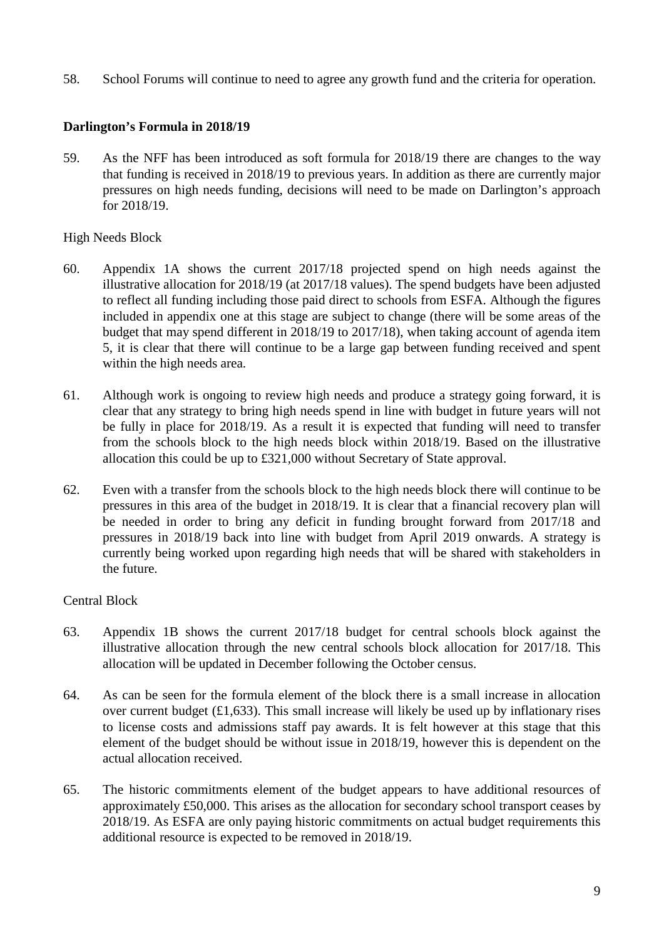58. School Forums will continue to need to agree any growth fund and the criteria for operation.

### **Darlington's Formula in 2018/19**

59. As the NFF has been introduced as soft formula for 2018/19 there are changes to the way that funding is received in 2018/19 to previous years. In addition as there are currently major pressures on high needs funding, decisions will need to be made on Darlington's approach for 2018/19.

### High Needs Block

- 60. Appendix 1A shows the current 2017/18 projected spend on high needs against the illustrative allocation for 2018/19 (at 2017/18 values). The spend budgets have been adjusted to reflect all funding including those paid direct to schools from ESFA. Although the figures included in appendix one at this stage are subject to change (there will be some areas of the budget that may spend different in 2018/19 to 2017/18), when taking account of agenda item 5, it is clear that there will continue to be a large gap between funding received and spent within the high needs area.
- 61. Although work is ongoing to review high needs and produce a strategy going forward, it is clear that any strategy to bring high needs spend in line with budget in future years will not be fully in place for 2018/19. As a result it is expected that funding will need to transfer from the schools block to the high needs block within 2018/19. Based on the illustrative allocation this could be up to £321,000 without Secretary of State approval.
- 62. Even with a transfer from the schools block to the high needs block there will continue to be pressures in this area of the budget in 2018/19. It is clear that a financial recovery plan will be needed in order to bring any deficit in funding brought forward from 2017/18 and pressures in 2018/19 back into line with budget from April 2019 onwards. A strategy is currently being worked upon regarding high needs that will be shared with stakeholders in the future.

# Central Block

- 63. Appendix 1B shows the current 2017/18 budget for central schools block against the illustrative allocation through the new central schools block allocation for 2017/18. This allocation will be updated in December following the October census.
- 64. As can be seen for the formula element of the block there is a small increase in allocation over current budget  $(E1,633)$ . This small increase will likely be used up by inflationary rises to license costs and admissions staff pay awards. It is felt however at this stage that this element of the budget should be without issue in 2018/19, however this is dependent on the actual allocation received.
- 65. The historic commitments element of the budget appears to have additional resources of approximately £50,000. This arises as the allocation for secondary school transport ceases by 2018/19. As ESFA are only paying historic commitments on actual budget requirements this additional resource is expected to be removed in 2018/19.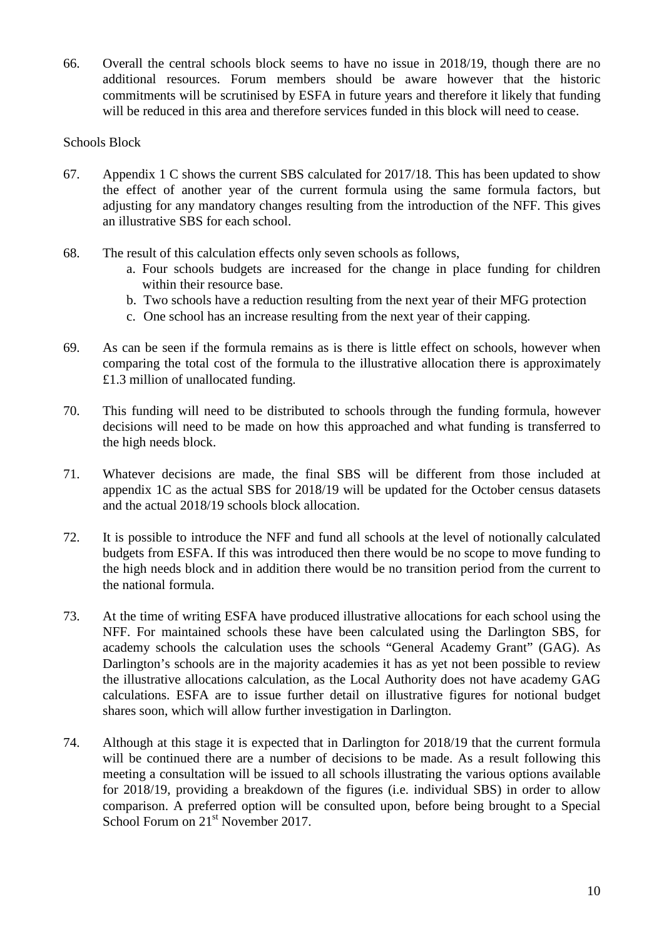66. Overall the central schools block seems to have no issue in 2018/19, though there are no additional resources. Forum members should be aware however that the historic commitments will be scrutinised by ESFA in future years and therefore it likely that funding will be reduced in this area and therefore services funded in this block will need to cease.

### Schools Block

- 67. Appendix 1 C shows the current SBS calculated for 2017/18. This has been updated to show the effect of another year of the current formula using the same formula factors, but adjusting for any mandatory changes resulting from the introduction of the NFF. This gives an illustrative SBS for each school.
- 68. The result of this calculation effects only seven schools as follows,
	- a. Four schools budgets are increased for the change in place funding for children within their resource base.
	- b. Two schools have a reduction resulting from the next year of their MFG protection
	- c. One school has an increase resulting from the next year of their capping.
- 69. As can be seen if the formula remains as is there is little effect on schools, however when comparing the total cost of the formula to the illustrative allocation there is approximately £1.3 million of unallocated funding.
- 70. This funding will need to be distributed to schools through the funding formula, however decisions will need to be made on how this approached and what funding is transferred to the high needs block.
- 71. Whatever decisions are made, the final SBS will be different from those included at appendix 1C as the actual SBS for 2018/19 will be updated for the October census datasets and the actual 2018/19 schools block allocation.
- 72. It is possible to introduce the NFF and fund all schools at the level of notionally calculated budgets from ESFA. If this was introduced then there would be no scope to move funding to the high needs block and in addition there would be no transition period from the current to the national formula.
- 73. At the time of writing ESFA have produced illustrative allocations for each school using the NFF. For maintained schools these have been calculated using the Darlington SBS, for academy schools the calculation uses the schools "General Academy Grant" (GAG). As Darlington's schools are in the majority academies it has as yet not been possible to review the illustrative allocations calculation, as the Local Authority does not have academy GAG calculations. ESFA are to issue further detail on illustrative figures for notional budget shares soon, which will allow further investigation in Darlington.
- 74. Although at this stage it is expected that in Darlington for 2018/19 that the current formula will be continued there are a number of decisions to be made. As a result following this meeting a consultation will be issued to all schools illustrating the various options available for 2018/19, providing a breakdown of the figures (i.e. individual SBS) in order to allow comparison. A preferred option will be consulted upon, before being brought to a Special School Forum on 21<sup>st</sup> November 2017.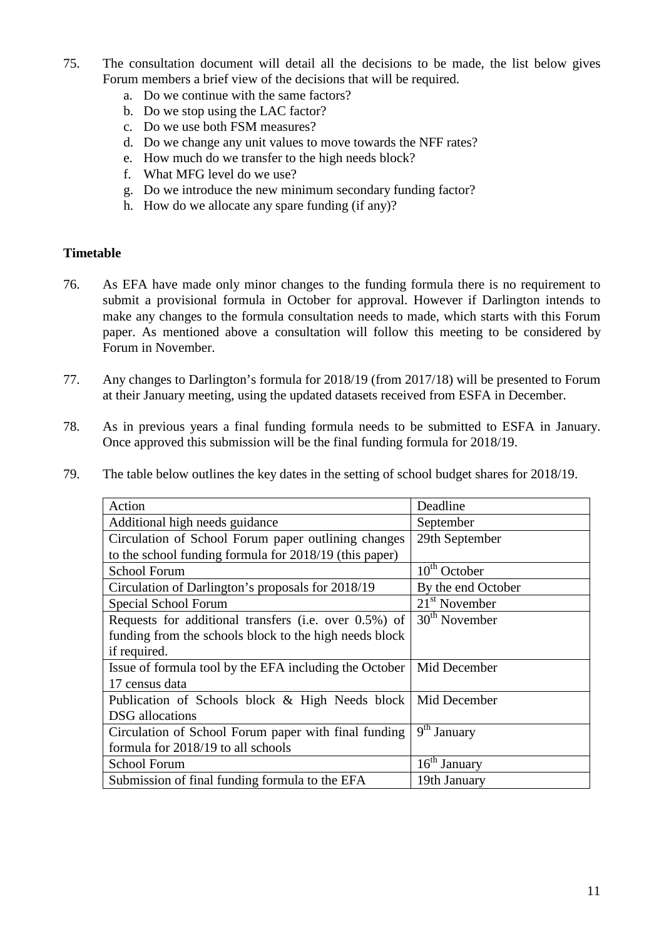- 75. The consultation document will detail all the decisions to be made, the list below gives Forum members a brief view of the decisions that will be required.
	- a. Do we continue with the same factors?
	- b. Do we stop using the LAC factor?
	- c. Do we use both FSM measures?
	- d. Do we change any unit values to move towards the NFF rates?
	- e. How much do we transfer to the high needs block?
	- f. What MFG level do we use?
	- g. Do we introduce the new minimum secondary funding factor?
	- h. How do we allocate any spare funding (if any)?

### **Timetable**

- 76. As EFA have made only minor changes to the funding formula there is no requirement to submit a provisional formula in October for approval. However if Darlington intends to make any changes to the formula consultation needs to made, which starts with this Forum paper. As mentioned above a consultation will follow this meeting to be considered by Forum in November.
- 77. Any changes to Darlington's formula for 2018/19 (from 2017/18) will be presented to Forum at their January meeting, using the updated datasets received from ESFA in December.
- 78. As in previous years a final funding formula needs to be submitted to ESFA in January. Once approved this submission will be the final funding formula for 2018/19.
- 79. The table below outlines the key dates in the setting of school budget shares for 2018/19.

| Action                                                 | Deadline           |
|--------------------------------------------------------|--------------------|
| Additional high needs guidance                         | September          |
| Circulation of School Forum paper outlining changes    | 29th September     |
| to the school funding formula for 2018/19 (this paper) |                    |
| <b>School Forum</b>                                    | $10th$ October     |
| Circulation of Darlington's proposals for 2018/19      | By the end October |
| Special School Forum                                   | $21st$ November    |
| Requests for additional transfers (i.e. over 0.5%) of  | $30th$ November    |
| funding from the schools block to the high needs block |                    |
| if required.                                           |                    |
| Issue of formula tool by the EFA including the October | Mid December       |
| 17 census data                                         |                    |
| Publication of Schools block & High Needs block        | Mid December       |
| <b>DSG</b> allocations                                 |                    |
| Circulation of School Forum paper with final funding   | $9th$ January      |
| formula for 2018/19 to all schools                     |                    |
| <b>School Forum</b>                                    | $16th$ January     |
| Submission of final funding formula to the EFA         | 19th January       |